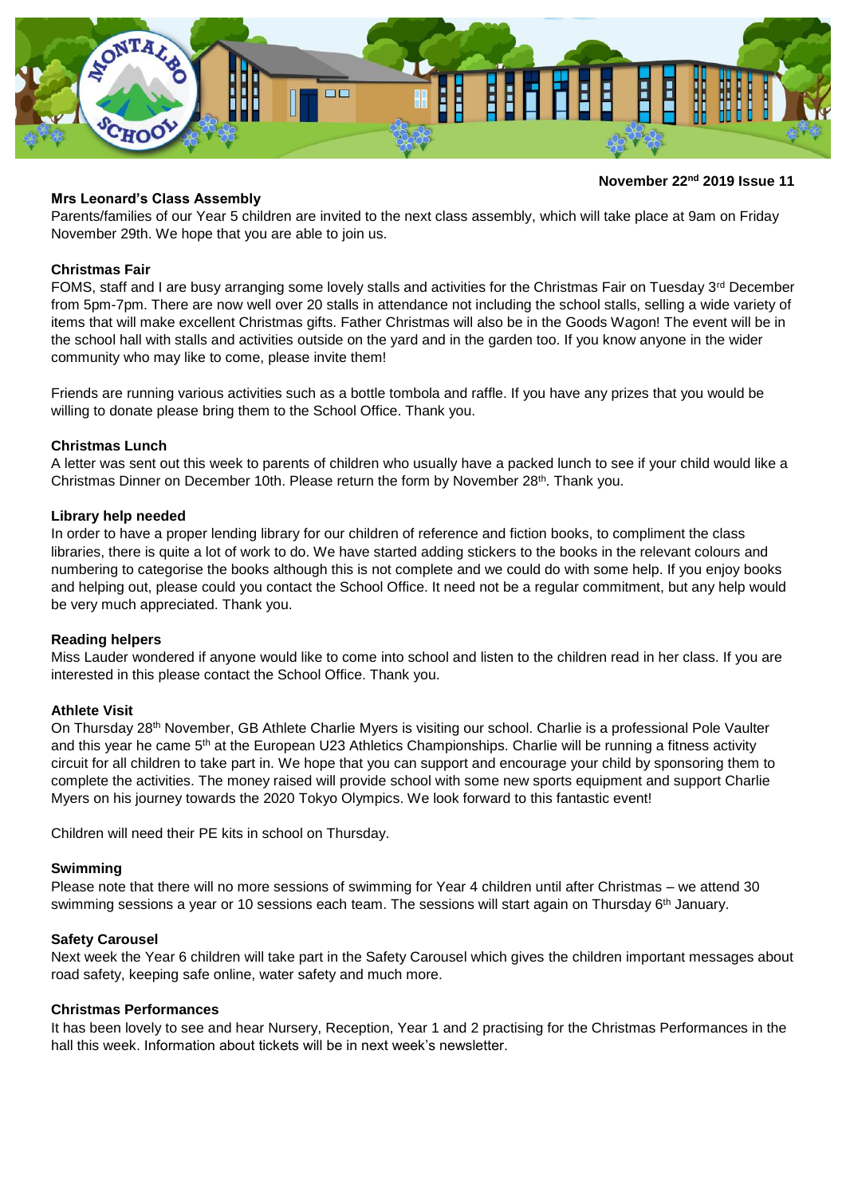

# **November 22nd 2019 Issue 11**

## **Mrs Leonard's Class Assembly**

Parents/families of our Year 5 children are invited to the next class assembly, which will take place at 9am on Friday November 29th. We hope that you are able to join us.

## **Christmas Fair**

FOMS, staff and I are busy arranging some lovely stalls and activities for the Christmas Fair on Tuesday  $3^{rd}$  December from 5pm-7pm. There are now well over 20 stalls in attendance not including the school stalls, selling a wide variety of items that will make excellent Christmas gifts. Father Christmas will also be in the Goods Wagon! The event will be in the school hall with stalls and activities outside on the yard and in the garden too. If you know anyone in the wider community who may like to come, please invite them!

Friends are running various activities such as a bottle tombola and raffle. If you have any prizes that you would be willing to donate please bring them to the School Office. Thank you.

### **Christmas Lunch**

A letter was sent out this week to parents of children who usually have a packed lunch to see if your child would like a Christmas Dinner on December 10th. Please return the form by November 28<sup>th</sup>. Thank you.

### **Library help needed**

In order to have a proper lending library for our children of reference and fiction books, to compliment the class libraries, there is quite a lot of work to do. We have started adding stickers to the books in the relevant colours and numbering to categorise the books although this is not complete and we could do with some help. If you enjoy books and helping out, please could you contact the School Office. It need not be a regular commitment, but any help would be very much appreciated. Thank you.

### **Reading helpers**

Miss Lauder wondered if anyone would like to come into school and listen to the children read in her class. If you are interested in this please contact the School Office. Thank you.

### **Athlete Visit**

On Thursday 28th November, GB Athlete Charlie Myers is visiting our school. Charlie is a professional Pole Vaulter and this year he came 5<sup>th</sup> at the European U23 Athletics Championships. Charlie will be running a fitness activity circuit for all children to take part in. We hope that you can support and encourage your child by sponsoring them to complete the activities. The money raised will provide school with some new sports equipment and support Charlie Myers on his journey towards the 2020 Tokyo Olympics. We look forward to this fantastic event!

Children will need their PE kits in school on Thursday.

### **Swimming**

Please note that there will no more sessions of swimming for Year 4 children until after Christmas – we attend 30 swimming sessions a year or 10 sessions each team. The sessions will start again on Thursday 6<sup>th</sup> January.

### **Safety Carousel**

Next week the Year 6 children will take part in the Safety Carousel which gives the children important messages about road safety, keeping safe online, water safety and much more.

# **Christmas Performances**

It has been lovely to see and hear Nursery, Reception, Year 1 and 2 practising for the Christmas Performances in the hall this week. Information about tickets will be in next week's newsletter.